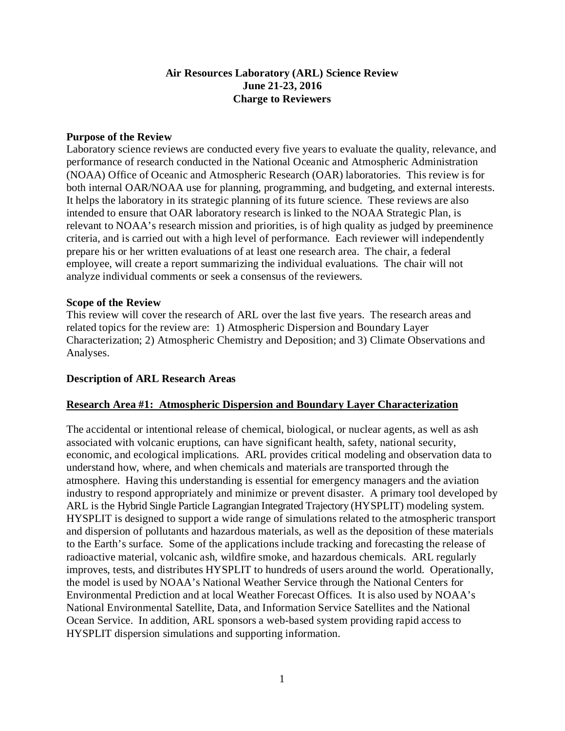### **Air Resources Laboratory (ARL) Science Review June 21-23, 2016 Charge to Reviewers**

#### **Purpose of the Review**

Laboratory science reviews are conducted every five years to evaluate the quality, relevance, and performance of research conducted in the National Oceanic and Atmospheric Administration (NOAA) Office of Oceanic and Atmospheric Research (OAR) laboratories. This review is for both internal OAR/NOAA use for planning, programming, and budgeting, and external interests. It helps the laboratory in its strategic planning of its future science. These reviews are also intended to ensure that OAR laboratory research is linked to the NOAA Strategic Plan, is relevant to NOAA's research mission and priorities, is of high quality as judged by preeminence criteria, and is carried out with a high level of performance. Each reviewer will independently prepare his or her written evaluations of at least one research area. The chair, a federal employee, will create a report summarizing the individual evaluations. The chair will not analyze individual comments or seek a consensus of the reviewers.

#### **Scope of the Review**

This review will cover the research of ARL over the last five years. The research areas and related topics for the review are: 1) Atmospheric Dispersion and Boundary Layer Characterization; 2) Atmospheric Chemistry and Deposition; and 3) Climate Observations and Analyses.

#### **Description of ARL Research Areas**

### **Research Area #1: Atmospheric Dispersion and Boundary Layer Characterization**

The accidental or intentional release of chemical, biological, or nuclear agents, as well as ash associated with volcanic eruptions, can have significant health, safety, national security, economic, and ecological implications. ARL provides critical modeling and observation data to understand how, where, and when chemicals and materials are transported through the atmosphere. Having this understanding is essential for emergency managers and the aviation industry to respond appropriately and minimize or prevent disaster. A primary tool developed by ARL is the Hybrid Single Particle Lagrangian Integrated Trajectory (HYSPLIT) modeling system. HYSPLIT is designed to support a wide range of simulations related to the atmospheric transport and dispersion of pollutants and hazardous materials, as well as the deposition of these materials to the Earth's surface. Some of the applications include tracking and forecasting the release of radioactive material, volcanic ash, wildfire smoke, and hazardous chemicals. ARL regularly improves, tests, and distributes HYSPLIT to hundreds of users around the world. Operationally, the model is used by NOAA's National Weather Service through the National Centers for Environmental Prediction and at local Weather Forecast Offices. It is also used by NOAA's National Environmental Satellite, Data, and Information Service Satellites and the National Ocean Service. In addition, ARL sponsors a web-based system providing rapid access to HYSPLIT dispersion simulations and supporting information.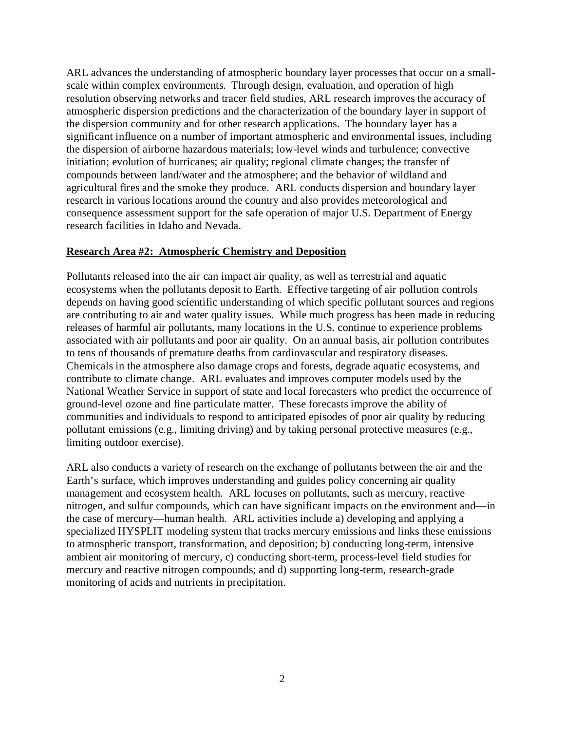ARL advances the understanding of atmospheric boundary layer processes that occur on a smallscale within complex environments. Through design, evaluation, and operation of high resolution observing networks and tracer field studies, ARL research improves the accuracy of atmospheric dispersion predictions and the characterization of the boundary layer in support of the dispersion community and for other research applications. The boundary layer has a significant influence on a number of important atmospheric and environmental issues, including the dispersion of airborne hazardous materials; low-level winds and turbulence; convective initiation; evolution of hurricanes; air quality; regional climate changes; the transfer of compounds between land/water and the atmosphere; and the behavior of wildland and agricultural fires and the smoke they produce. ARL conducts dispersion and boundary layer research in various locations around the country and also provides meteorological and consequence assessment support for the safe operation of major U.S. Department of Energy research facilities in Idaho and Nevada.

#### **Research Area #2: Atmospheric Chemistry and Deposition**

Pollutants released into the air can impact air quality, as well as terrestrial and aquatic ecosystems when the pollutants deposit to Earth. Effective targeting of air pollution controls depends on having good scientific understanding of which specific pollutant sources and regions are contributing to air and water quality issues. While much progress has been made in reducing releases of harmful air pollutants, many locations in the U.S. continue to experience problems associated with air pollutants and poor air quality. On an annual basis, air pollution contributes to tens of thousands of premature deaths from cardiovascular and respiratory diseases. Chemicals in the atmosphere also damage crops and forests, degrade aquatic ecosystems, and contribute to climate change. ARL evaluates and improves computer models used by the National Weather Service in support of state and local forecasters who predict the occurrence of ground-level ozone and fine particulate matter. These forecasts improve the ability of communities and individuals to respond to anticipated episodes of poor air quality by reducing pollutant emissions (e.g., limiting driving) and by taking personal protective measures (e.g., limiting outdoor exercise).

ARL also conducts a variety of research on the exchange of pollutants between the air and the Earth's surface, which improves understanding and guides policy concerning air quality management and ecosystem health. ARL focuses on pollutants, such as mercury, reactive nitrogen, and sulfur compounds, which can have significant impacts on the environment and—in the case of mercury—human health. ARL activities include a) developing and applying a specialized HYSPLIT modeling system that tracks mercury emissions and links these emissions to atmospheric transport, transformation, and deposition; b) conducting long-term, intensive ambient air monitoring of mercury, c) conducting short-term, process-level field studies for mercury and reactive nitrogen compounds; and d) supporting long-term, research-grade monitoring of acids and nutrients in precipitation.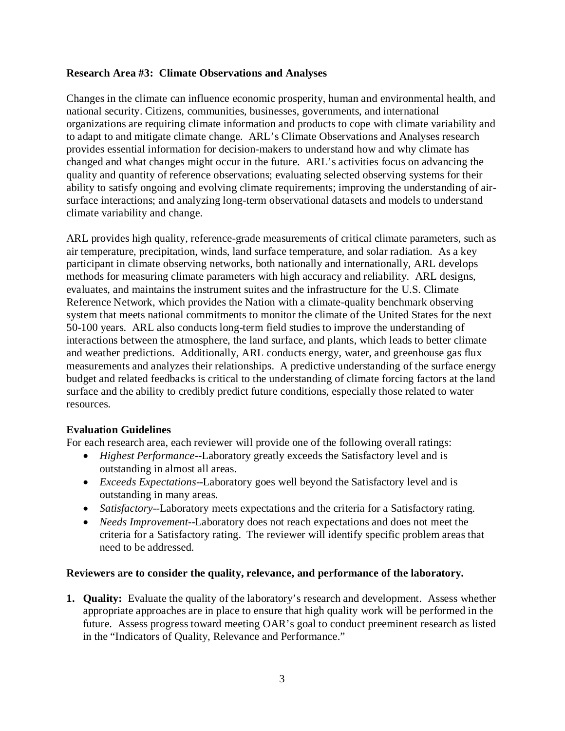### **Research Area #3: Climate Observations and Analyses**

Changes in the climate can influence economic prosperity, human and environmental health, and national security. Citizens, communities, businesses, governments, and international organizations are requiring climate information and products to cope with climate variability and to adapt to and mitigate climate change. ARL's Climate Observations and Analyses research provides essential information for decision-makers to understand how and why climate has changed and what changes might occur in the future. ARL's activities focus on advancing the quality and quantity of reference observations; evaluating selected observing systems for their ability to satisfy ongoing and evolving climate requirements; improving the understanding of airsurface interactions; and analyzing long-term observational datasets and models to understand climate variability and change.

ARL provides high quality, reference-grade measurements of critical climate parameters, such as air temperature, precipitation, winds, land surface temperature, and solar radiation. As a key participant in climate observing networks, both nationally and internationally, ARL develops methods for measuring climate parameters with high accuracy and reliability. ARL designs, evaluates, and maintains the instrument suites and the infrastructure for the U.S. Climate Reference Network, which provides the Nation with a climate-quality benchmark observing system that meets national commitments to monitor the climate of the United States for the next 50-100 years. ARL also conducts long-term field studies to improve the understanding of interactions between the atmosphere, the land surface, and plants, which leads to better climate and weather predictions. Additionally, ARL conducts energy, water, and greenhouse gas flux measurements and analyzes their relationships. A predictive understanding of the surface energy budget and related feedbacks is critical to the understanding of climate forcing factors at the land surface and the ability to credibly predict future conditions, especially those related to water resources.

### **Evaluation Guidelines**

For each research area, each reviewer will provide one of the following overall ratings:

- *Highest Performance*--Laboratory greatly exceeds the Satisfactory level and is outstanding in almost all areas.
- *Exceeds Expectations*--Laboratory goes well beyond the Satisfactory level and is outstanding in many areas.
- *Satisfactory*--Laboratory meets expectations and the criteria for a Satisfactory rating.
- *Needs Improvement*--Laboratory does not reach expectations and does not meet the criteria for a Satisfactory rating. The reviewer will identify specific problem areas that need to be addressed.

### **Reviewers are to consider the quality, relevance, and performance of the laboratory.**

**1. Quality:** Evaluate the quality of the laboratory's research and development. Assess whether appropriate approaches are in place to ensure that high quality work will be performed in the future. Assess progress toward meeting OAR's goal to conduct preeminent research as listed in the "Indicators of Quality, Relevance and Performance."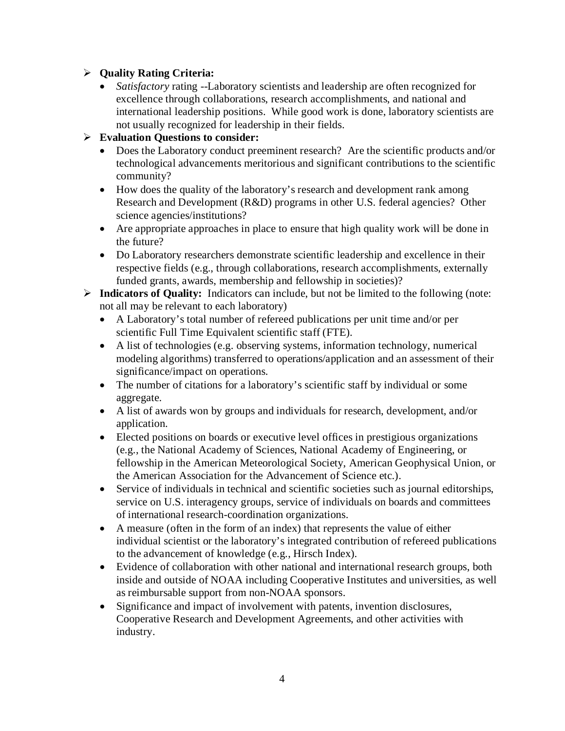## **Quality Rating Criteria:**

• *Satisfactory* rating --Laboratory scientists and leadership are often recognized for excellence through collaborations, research accomplishments, and national and international leadership positions. While good work is done, laboratory scientists are not usually recognized for leadership in their fields.

## **Evaluation Questions to consider:**

- Does the Laboratory conduct preeminent research? Are the scientific products and/or technological advancements meritorious and significant contributions to the scientific community?
- How does the quality of the laboratory's research and development rank among Research and Development (R&D) programs in other U.S. federal agencies? Other science agencies/institutions?
- Are appropriate approaches in place to ensure that high quality work will be done in the future?
- Do Laboratory researchers demonstrate scientific leadership and excellence in their respective fields (e.g., through collaborations, research accomplishments, externally funded grants, awards, membership and fellowship in societies)?
- **Indicators of Quality:** Indicators can include, but not be limited to the following (note: not all may be relevant to each laboratory)
	- A Laboratory's total number of refereed publications per unit time and/or per scientific Full Time Equivalent scientific staff (FTE).
	- A list of technologies (e.g. observing systems, information technology, numerical modeling algorithms) transferred to operations/application and an assessment of their significance/impact on operations.
	- The number of citations for a laboratory's scientific staff by individual or some aggregate.
	- A list of awards won by groups and individuals for research, development, and/or application.
	- Elected positions on boards or executive level offices in prestigious organizations (e.g., the National Academy of Sciences, National Academy of Engineering, or fellowship in the American Meteorological Society, American Geophysical Union, or the American Association for the Advancement of Science etc.).
	- Service of individuals in technical and scientific societies such as journal editorships, service on U.S. interagency groups, service of individuals on boards and committees of international research-coordination organizations.
	- A measure (often in the form of an index) that represents the value of either individual scientist or the laboratory's integrated contribution of refereed publications to the advancement of knowledge (e.g., Hirsch Index).
	- Evidence of collaboration with other national and international research groups, both inside and outside of NOAA including Cooperative Institutes and universities, as well as reimbursable support from non-NOAA sponsors.
	- Significance and impact of involvement with patents, invention disclosures, Cooperative Research and Development Agreements, and other activities with industry.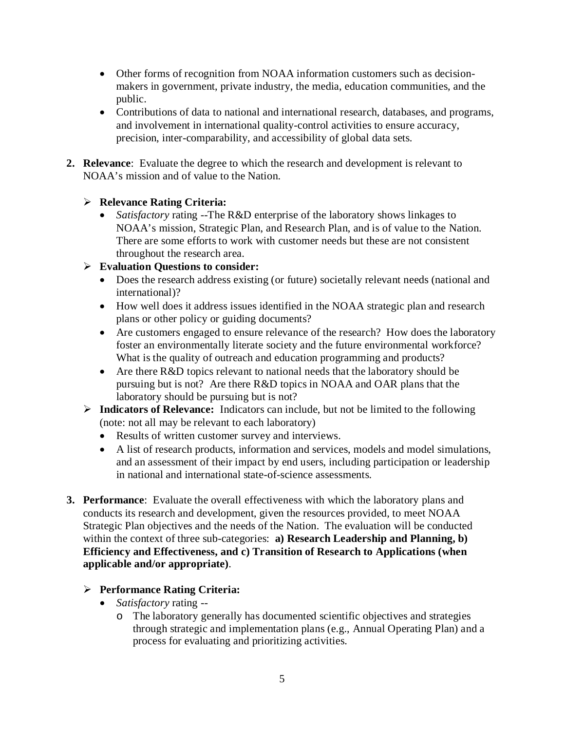- Other forms of recognition from NOAA information customers such as decisionmakers in government, private industry, the media, education communities, and the public.
- Contributions of data to national and international research, databases, and programs, and involvement in international quality-control activities to ensure accuracy, precision, inter-comparability, and accessibility of global data sets.
- **2. Relevance**: Evaluate the degree to which the research and development is relevant to NOAA's mission and of value to the Nation.

## **Relevance Rating Criteria:**

• *Satisfactory* rating --The R&D enterprise of the laboratory shows linkages to NOAA's mission, Strategic Plan, and Research Plan, and is of value to the Nation. There are some efforts to work with customer needs but these are not consistent throughout the research area.

# **Evaluation Questions to consider:**

- Does the research address existing (or future) societally relevant needs (national and international)?
- How well does it address issues identified in the NOAA strategic plan and research plans or other policy or guiding documents?
- Are customers engaged to ensure relevance of the research? How does the laboratory foster an environmentally literate society and the future environmental workforce? What is the quality of outreach and education programming and products?
- Are there R&D topics relevant to national needs that the laboratory should be pursuing but is not? Are there R&D topics in NOAA and OAR plans that the laboratory should be pursuing but is not?
- **Indicators of Relevance:** Indicators can include, but not be limited to the following (note: not all may be relevant to each laboratory)
	- Results of written customer survey and interviews.
	- A list of research products, information and services, models and model simulations, and an assessment of their impact by end users, including participation or leadership in national and international state-of-science assessments.
- **3. Performance**: Evaluate the overall effectiveness with which the laboratory plans and conducts its research and development, given the resources provided, to meet NOAA Strategic Plan objectives and the needs of the Nation. The evaluation will be conducted within the context of three sub-categories: **a) Research Leadership and Planning, b) Efficiency and Effectiveness, and c) Transition of Research to Applications (when applicable and/or appropriate)**.

### **Performance Rating Criteria:**

- *Satisfactory* rating
	- o The laboratory generally has documented scientific objectives and strategies through strategic and implementation plans (e.g., Annual Operating Plan) and a process for evaluating and prioritizing activities.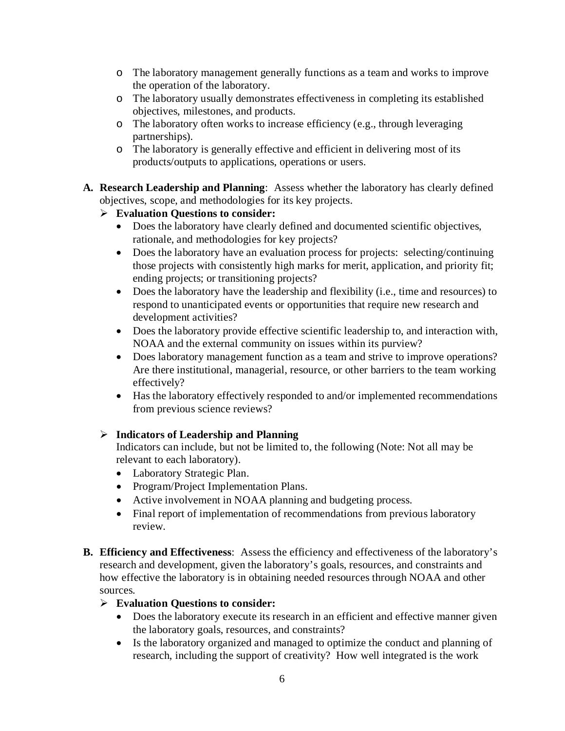- o The laboratory management generally functions as a team and works to improve the operation of the laboratory.
- o The laboratory usually demonstrates effectiveness in completing its established objectives, milestones, and products.
- o The laboratory often works to increase efficiency (e.g., through leveraging partnerships).
- o The laboratory is generally effective and efficient in delivering most of its products/outputs to applications, operations or users.
- **A. Research Leadership and Planning**: Assess whether the laboratory has clearly defined objectives, scope, and methodologies for its key projects.
	- **Evaluation Questions to consider:**
		- Does the laboratory have clearly defined and documented scientific objectives, rationale, and methodologies for key projects?
		- Does the laboratory have an evaluation process for projects: selecting/continuing those projects with consistently high marks for merit, application, and priority fit; ending projects; or transitioning projects?
		- Does the laboratory have the leadership and flexibility (i.e., time and resources) to respond to unanticipated events or opportunities that require new research and development activities?
		- Does the laboratory provide effective scientific leadership to, and interaction with, NOAA and the external community on issues within its purview?
		- Does laboratory management function as a team and strive to improve operations? Are there institutional, managerial, resource, or other barriers to the team working effectively?
		- Has the laboratory effectively responded to and/or implemented recommendations from previous science reviews?

# **Indicators of Leadership and Planning**

Indicators can include, but not be limited to, the following (Note: Not all may be relevant to each laboratory).

- Laboratory Strategic Plan.
- Program/Project Implementation Plans.
- Active involvement in NOAA planning and budgeting process.
- Final report of implementation of recommendations from previous laboratory review.
- **B. Efficiency and Effectiveness**: Assess the efficiency and effectiveness of the laboratory's research and development, given the laboratory's goals, resources, and constraints and how effective the laboratory is in obtaining needed resources through NOAA and other sources.

# **Evaluation Questions to consider:**

- Does the laboratory execute its research in an efficient and effective manner given the laboratory goals, resources, and constraints?
- Is the laboratory organized and managed to optimize the conduct and planning of research, including the support of creativity? How well integrated is the work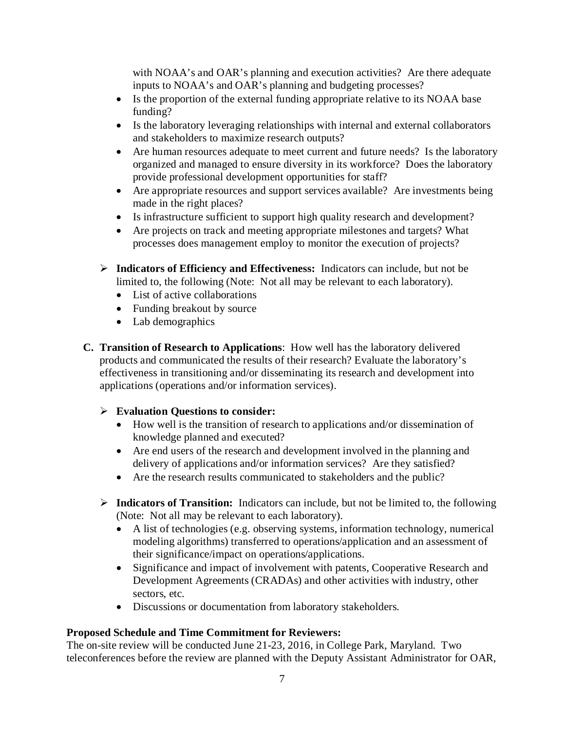with NOAA's and OAR's planning and execution activities? Are there adequate inputs to NOAA's and OAR's planning and budgeting processes?

- Is the proportion of the external funding appropriate relative to its NOAA base funding?
- Is the laboratory leveraging relationships with internal and external collaborators and stakeholders to maximize research outputs?
- Are human resources adequate to meet current and future needs? Is the laboratory organized and managed to ensure diversity in its workforce? Does the laboratory provide professional development opportunities for staff?
- Are appropriate resources and support services available? Are investments being made in the right places?
- Is infrastructure sufficient to support high quality research and development?
- Are projects on track and meeting appropriate milestones and targets? What processes does management employ to monitor the execution of projects?
- **Indicators of Efficiency and Effectiveness:** Indicators can include, but not be limited to, the following (Note: Not all may be relevant to each laboratory).
	- List of active collaborations
	- Funding breakout by source
	- Lab demographics
- **C. Transition of Research to Applications**: How well has the laboratory delivered products and communicated the results of their research? Evaluate the laboratory's effectiveness in transitioning and/or disseminating its research and development into applications (operations and/or information services).

### **Evaluation Questions to consider:**

- How well is the transition of research to applications and/or dissemination of knowledge planned and executed?
- Are end users of the research and development involved in the planning and delivery of applications and/or information services? Are they satisfied?
- Are the research results communicated to stakeholders and the public?
- **Indicators of Transition:** Indicators can include, but not be limited to, the following (Note: Not all may be relevant to each laboratory).
	- A list of technologies (e.g. observing systems, information technology, numerical modeling algorithms) transferred to operations/application and an assessment of their significance/impact on operations/applications.
	- Significance and impact of involvement with patents, Cooperative Research and Development Agreements (CRADAs) and other activities with industry, other sectors, etc.
	- Discussions or documentation from laboratory stakeholders.

### **Proposed Schedule and Time Commitment for Reviewers:**

The on-site review will be conducted June 21-23, 2016, in College Park, Maryland. Two teleconferences before the review are planned with the Deputy Assistant Administrator for OAR,